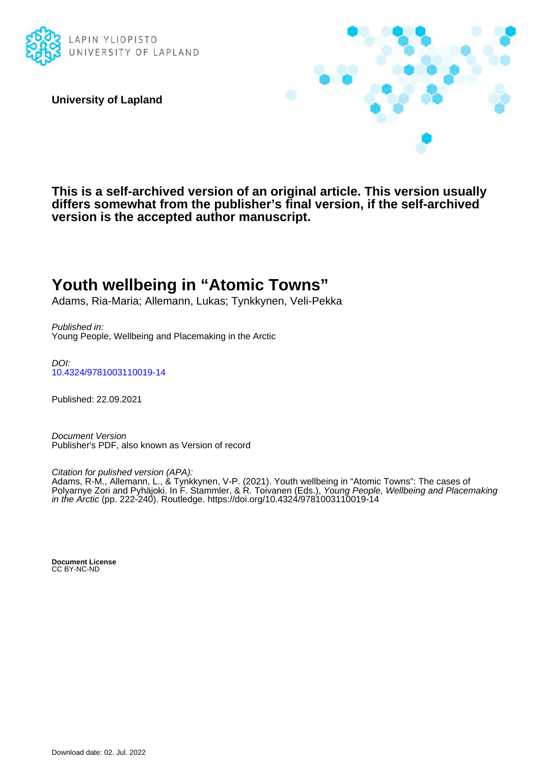

**University of Lapland**



**This is a self-archived version of an original article. This version usually differs somewhat from the publisher's final version, if the self-archived version is the accepted author manuscript.**

# **Youth wellbeing in "Atomic Towns"**

Adams, Ria-Maria; Allemann, Lukas; Tynkkynen, Veli-Pekka

Published in: Young People, Wellbeing and Placemaking in the Arctic

DOI: [10.4324/9781003110019-14](https://doi.org/10.4324/9781003110019-14)

Published: 22.09.2021

Document Version Publisher's PDF, also known as Version of record

Citation for pulished version (APA):

Adams, R-M., Allemann, L., & Tynkkynen, V-P. (2021). Youth wellbeing in "Atomic Towns": The cases of Polyarnye Zori and Pyhäjoki. In F. Stammler, & R. Toivanen (Eds.), *Young People, Wellbeing and Placemaking* in the Arctic (pp. 222-240). Routledge. <https://doi.org/10.4324/9781003110019-14>

**Document License** CC BY-NC-ND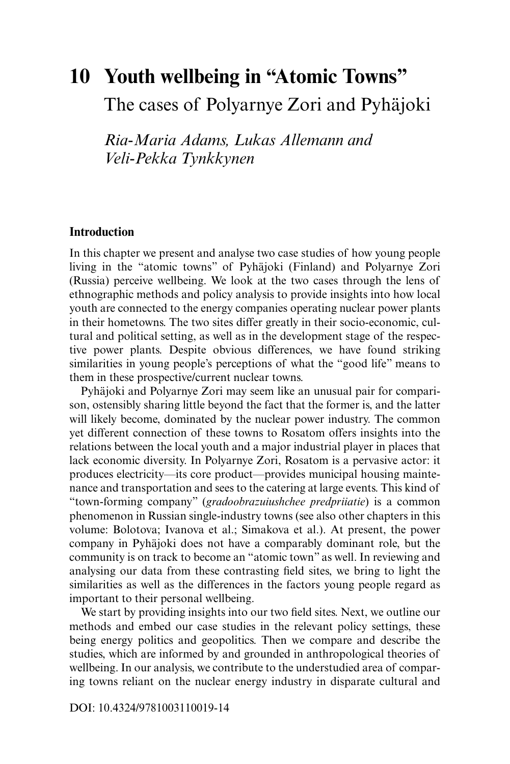## **10 Youth wellbeing in "Atomic Towns"**

The cases of Polyarnye Zori and Pyhäjoki

*Ria-Maria Adams, Lukas Allemann and Veli-Pekka Tynkkynen*

## **Introduction**

In this chapter we present and analyse two case studies of how young people living in the "atomic towns" of Pyhäjoki (Finland) and Polyarnye Zori (Russia) perceive wellbeing. We look at the two cases through the lens of ethnographic methods and policy analysis to provide insights into how local youth are connected to the energy companies operating nuclear power plants in their hometowns. The two sites differ greatly in their socio-economic, cultural and political setting, as well as in the development stage of the respective power plants. Despite obvious differences, we have found striking similarities in young people's perceptions of what the "good life" means to them in these prospective/current nuclear towns.

Pyhäjoki and Polyarnye Zori may seem like an unusual pair for comparison, ostensibly sharing little beyond the fact that the former is, and the latter will likely become, dominated by the nuclear power industry. The common yet different connection of these towns to Rosatom offers insights into the relations between the local youth and a major industrial player in places that lack economic diversity. In Polyarnye Zori, Rosatom is a pervasive actor: it produces electricity—its core product—provides municipal housing maintenance and transportation and sees to the catering at large events. This kind of "town-forming company" (*gradoobrazuiushchee predpriiatie*) is a common phenomenon in Russian single-industry towns (see also other chapters in this volume: Bolotova; Ivanova et al.; Simakova et al.). At present, the power company in Pyhäjoki does not have a comparably dominant role, but the community is on track to become an "atomic town" as well. In reviewing and analysing our data from these contrasting feld sites, we bring to light the similarities as well as the differences in the factors young people regard as important to their personal wellbeing.

We start by providing insights into our two feld sites. Next, we outline our methods and embed our case studies in the relevant policy settings, these being energy politics and geopolitics. Then we compare and describe the studies, which are informed by and grounded in anthropological theories of wellbeing. In our analysis, we contribute to the understudied area of comparing towns reliant on the nuclear energy industry in disparate cultural and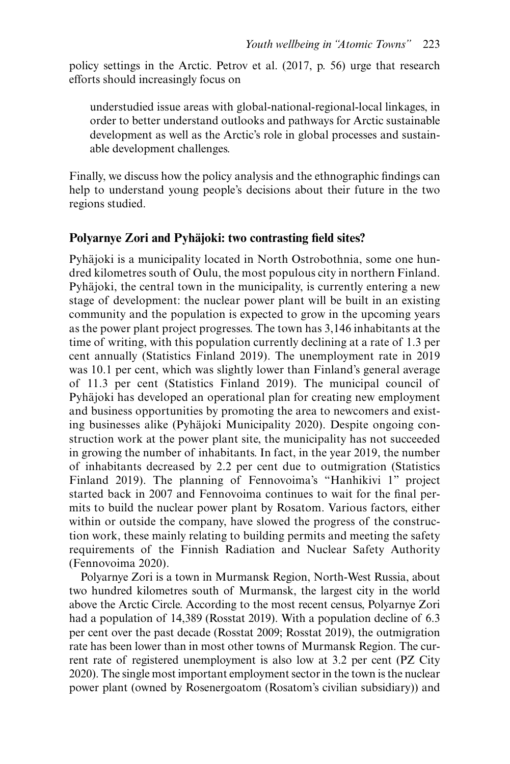policy settings in the Arctic. Petrov et al. (2017, p. 56) urge that research efforts should increasingly focus on

understudied issue areas with global-national-regional-local linkages, in order to better understand outlooks and pathways for Arctic sustainable development as well as the Arctic's role in global processes and sustainable development challenges.

Finally, we discuss how the policy analysis and the ethnographic fndings can help to understand young people's decisions about their future in the two regions studied.

## **Polyarnye Zori and Pyhäjoki: two contrasting feld sites?**

Pyhäjoki is a municipality located in North Ostrobothnia, some one hundred kilometres south of Oulu, the most populous city in northern Finland. Pyhäjoki, the central town in the municipality, is currently entering a new stage of development: the nuclear power plant will be built in an existing community and the population is expected to grow in the upcoming years as the power plant project progresses. The town has 3,146 inhabitants at the time of writing, with this population currently declining at a rate of 1.3 per cent annually (Statistics Finland 2019). The unemployment rate in 2019 was 10.1 per cent, which was slightly lower than Finland's general average of 11.3 per cent (Statistics Finland 2019). The municipal council of Pyhäjoki has developed an operational plan for creating new employment and business opportunities by promoting the area to newcomers and existing businesses alike (Pyhäjoki Municipality 2020). Despite ongoing construction work at the power plant site, the municipality has not succeeded in growing the number of inhabitants. In fact, in the year 2019, the number of inhabitants decreased by 2.2 per cent due to outmigration (Statistics Finland 2019). The planning of Fennovoima's "Hanhikivi 1" project started back in 2007 and Fennovoima continues to wait for the fnal permits to build the nuclear power plant by Rosatom. Various factors, either within or outside the company, have slowed the progress of the construction work, these mainly relating to building permits and meeting the safety requirements of the Finnish Radiation and Nuclear Safety Authority (Fennovoima 2020).

Polyarnye Zori is a town in Murmansk Region, North-West Russia, about two hundred kilometres south of Murmansk, the largest city in the world above the Arctic Circle. According to the most recent census, Polyarnye Zori had a population of 14,389 (Rosstat 2019). With a population decline of 6.3 per cent over the past decade (Rosstat 2009; Rosstat 2019), the outmigration rate has been lower than in most other towns of Murmansk Region. The current rate of registered unemployment is also low at 3.2 per cent (PZ City 2020). The single most important employment sector in the town is the nuclear power plant (owned by Rosenergoatom (Rosatom's civilian subsidiary)) and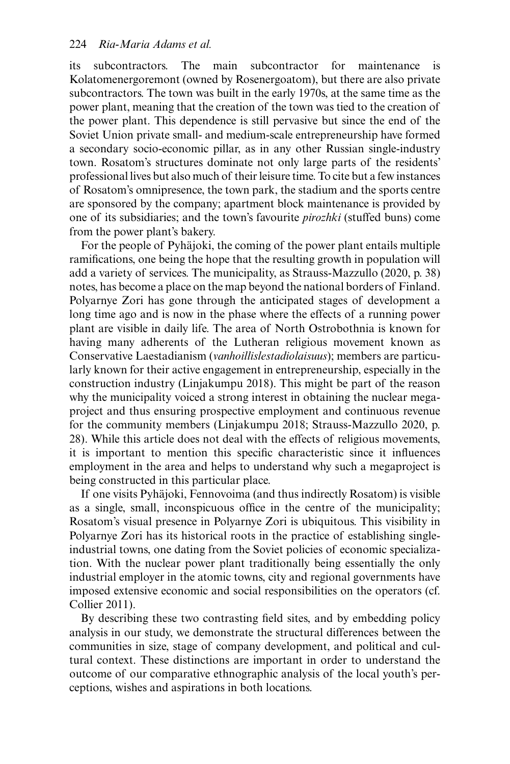its subcontractors. The main subcontractor for maintenance is Kolatomenergoremont (owned by Rosenergoatom), but there are also private subcontractors. The town was built in the early 1970s, at the same time as the power plant, meaning that the creation of the town was tied to the creation of the power plant. This dependence is still pervasive but since the end of the Soviet Union private small- and medium-scale entrepreneurship have formed a secondary socio-economic pillar, as in any other Russian single-industry town. Rosatom's structures dominate not only large parts of the residents' professional lives but also much of their leisure time. To cite but a few instances of Rosatom's omnipresence, the town park, the stadium and the sports centre are sponsored by the company; apartment block maintenance is provided by one of its subsidiaries; and the town's favourite *pirozhki* (stuffed buns) come from the power plant's bakery.

For the people of Pyhäjoki, the coming of the power plant entails multiple ramifcations, one being the hope that the resulting growth in population will add a variety of services. The municipality, as Strauss-Mazzullo (2020, p. 38) notes, has become a place on the map beyond the national borders of Finland. Polyarnye Zori has gone through the anticipated stages of development a long time ago and is now in the phase where the effects of a running power plant are visible in daily life. The area of North Ostrobothnia is known for having many adherents of the Lutheran religious movement known as Conservative Laestadianism (*vanhoillislestadiolaisuus*); members are particularly known for their active engagement in entrepreneurship, especially in the construction industry (Linjakumpu 2018). This might be part of the reason why the municipality voiced a strong interest in obtaining the nuclear megaproject and thus ensuring prospective employment and continuous revenue for the community members (Linjakumpu 2018; Strauss-Mazzullo 2020, p. 28). While this article does not deal with the effects of religious movements, it is important to mention this specifc characteristic since it infuences employment in the area and helps to understand why such a megaproject is being constructed in this particular place.

If one visits Pyhäjoki, Fennovoima (and thus indirectly Rosatom) is visible as a single, small, inconspicuous office in the centre of the municipality; Rosatom's visual presence in Polyarnye Zori is ubiquitous. This visibility in Polyarnye Zori has its historical roots in the practice of establishing singleindustrial towns, one dating from the Soviet policies of economic specialization. With the nuclear power plant traditionally being essentially the only industrial employer in the atomic towns, city and regional governments have imposed extensive economic and social responsibilities on the operators (cf. Collier 2011).

By describing these two contrasting feld sites, and by embedding policy analysis in our study, we demonstrate the structural differences between the communities in size, stage of company development, and political and cultural context. These distinctions are important in order to understand the outcome of our comparative ethnographic analysis of the local youth's perceptions, wishes and aspirations in both locations.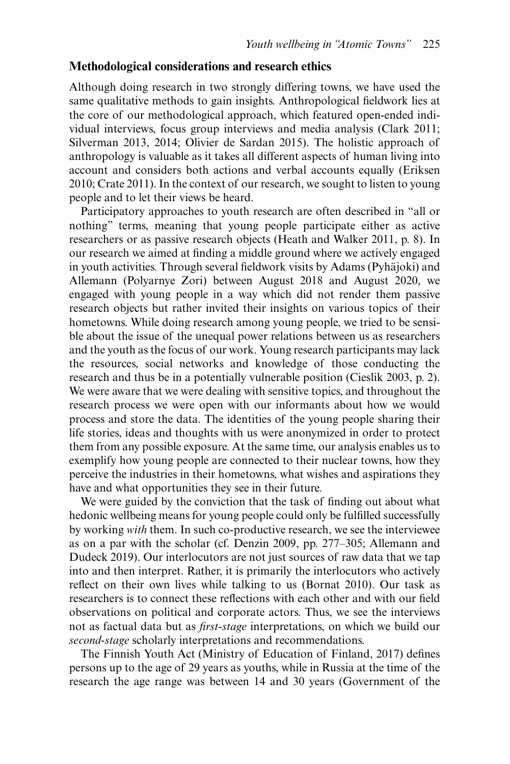## **Methodological considerations and research ethics**

Although doing research in two strongly differing towns, we have used the same qualitative methods to gain insights. Anthropological feldwork lies at the core of our methodological approach, which featured open-ended individual interviews, focus group interviews and media analysis (Clark 2011; Silverman 2013, 2014; Olivier de Sardan 2015). The holistic approach of anthropology is valuable as it takes all different aspects of human living into account and considers both actions and verbal accounts equally (Eriksen 2010; Crate 2011). In the context of our research, we sought to listen to young people and to let their views be heard.

Participatory approaches to youth research are often described in "all or nothing" terms, meaning that young people participate either as active researchers or as passive research objects (Heath and Walker 2011, p. 8). In our research we aimed at fnding a middle ground where we actively engaged in youth activities. Through several feldwork visits by Adams (Pyhäjoki) and Allemann (Polyarnye Zori) between August 2018 and August 2020, we engaged with young people in a way which did not render them passive research objects but rather invited their insights on various topics of their hometowns. While doing research among young people, we tried to be sensible about the issue of the unequal power relations between us as researchers and the youth as the focus of our work. Young research participants may lack the resources, social networks and knowledge of those conducting the research and thus be in a potentially vulnerable position (Cieslik 2003, p. 2). We were aware that we were dealing with sensitive topics, and throughout the research process we were open with our informants about how we would process and store the data. The identities of the young people sharing their life stories, ideas and thoughts with us were anonymized in order to protect them from any possible exposure. At the same time, our analysis enables us to exemplify how young people are connected to their nuclear towns, how they perceive the industries in their hometowns, what wishes and aspirations they have and what opportunities they see in their future.

We were guided by the conviction that the task of fnding out about what hedonic wellbeing means for young people could only be fulflled successfully by working *with* them. In such co-productive research, we see the interviewee as on a par with the scholar (cf. Denzin 2009, pp. 277–305; Allemann and Dudeck 2019). Our interlocutors are not just sources of raw data that we tap into and then interpret. Rather, it is primarily the interlocutors who actively refect on their own lives while talking to us (Bornat 2010). Our task as researchers is to connect these refections with each other and with our feld observations on political and corporate actors. Thus, we see the interviews not as factual data but as *frst-stage* interpretations, on which we build our *second-stage* scholarly interpretations and recommendations.

The Finnish Youth Act (Ministry of Education of Finland, 2017) defnes persons up to the age of 29 years as youths, while in Russia at the time of the research the age range was between 14 and 30 years (Government of the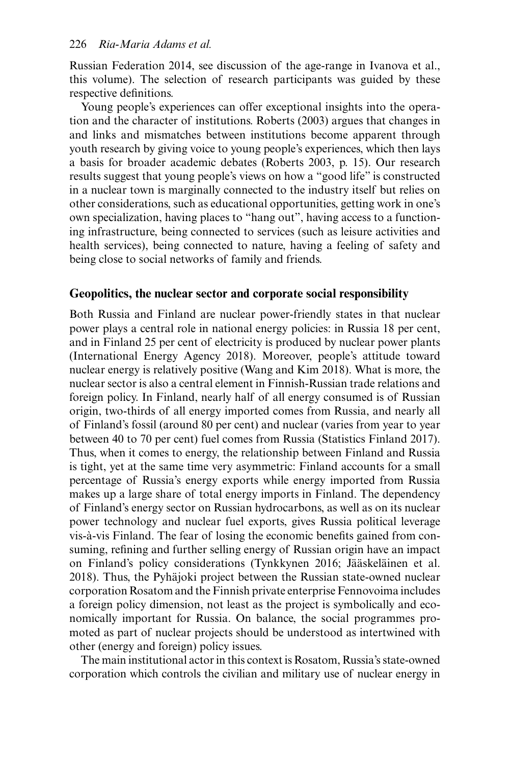Russian Federation 2014, see discussion of the age-range in Ivanova et al., this volume). The selection of research participants was guided by these respective defnitions.

Young people's experiences can offer exceptional insights into the operation and the character of institutions. Roberts (2003) argues that changes in and links and mismatches between institutions become apparent through youth research by giving voice to young people's experiences, which then lays a basis for broader academic debates (Roberts 2003, p. 15). Our research results suggest that young people's views on how a "good life" is constructed in a nuclear town is marginally connected to the industry itself but relies on other considerations, such as educational opportunities, getting work in one's own specialization, having places to "hang out", having access to a functioning infrastructure, being connected to services (such as leisure activities and health services), being connected to nature, having a feeling of safety and being close to social networks of family and friends.

## **Geopolitics, the nuclear sector and corporate social responsibility**

Both Russia and Finland are nuclear power-friendly states in that nuclear power plays a central role in national energy policies: in Russia 18 per cent, and in Finland 25 per cent of electricity is produced by nuclear power plants (International Energy Agency 2018). Moreover, people's attitude toward nuclear energy is relatively positive (Wang and Kim 2018). What is more, the nuclear sector is also a central element in Finnish-Russian trade relations and foreign policy. In Finland, nearly half of all energy consumed is of Russian origin, two-thirds of all energy imported comes from Russia, and nearly all of Finland's fossil (around 80 per cent) and nuclear (varies from year to year between 40 to 70 per cent) fuel comes from Russia (Statistics Finland 2017). Thus, when it comes to energy, the relationship between Finland and Russia is tight, yet at the same time very asymmetric: Finland accounts for a small percentage of Russia's energy exports while energy imported from Russia makes up a large share of total energy imports in Finland. The dependency of Finland's energy sector on Russian hydrocarbons, as well as on its nuclear power technology and nuclear fuel exports, gives Russia political leverage vis-à-vis Finland. The fear of losing the economic benefts gained from consuming, refning and further selling energy of Russian origin have an impact on Finland's policy considerations (Tynkkynen 2016; Jääskeläinen et al. 2018). Thus, the Pyhäjoki project between the Russian state-owned nuclear corporation Rosatom and the Finnish private enterprise Fennovoima includes a foreign policy dimension, not least as the project is symbolically and economically important for Russia. On balance, the social programmes promoted as part of nuclear projects should be understood as intertwined with other (energy and foreign) policy issues.

The main institutional actor in this context is Rosatom, Russia's state-owned corporation which controls the civilian and military use of nuclear energy in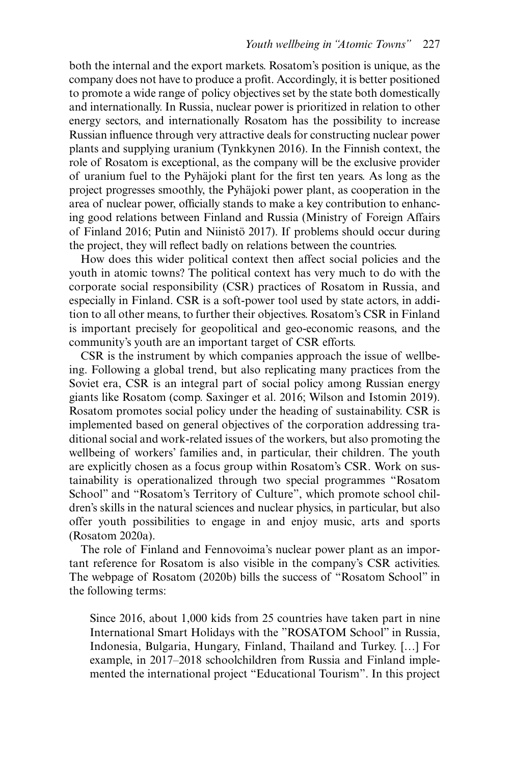both the internal and the export markets. Rosatom's position is unique, as the company does not have to produce a proft. Accordingly, it is better positioned to promote a wide range of policy objectives set by the state both domestically and internationally. In Russia, nuclear power is prioritized in relation to other energy sectors, and internationally Rosatom has the possibility to increase Russian infuence through very attractive deals for constructing nuclear power plants and supplying uranium (Tynkkynen 2016). In the Finnish context, the role of Rosatom is exceptional, as the company will be the exclusive provider of uranium fuel to the Pyhäjoki plant for the frst ten years. As long as the project progresses smoothly, the Pyhäjoki power plant, as cooperation in the area of nuclear power, officially stands to make a key contribution to enhancing good relations between Finland and Russia (Ministry of Foreign Affairs of Finland 2016; Putin and Niinistö 2017). If problems should occur during the project, they will refect badly on relations between the countries.

How does this wider political context then affect social policies and the youth in atomic towns? The political context has very much to do with the corporate social responsibility (CSR) practices of Rosatom in Russia, and especially in Finland. CSR is a soft-power tool used by state actors, in addition to all other means, to further their objectives. Rosatom's CSR in Finland is important precisely for geopolitical and geo-economic reasons, and the community's youth are an important target of CSR efforts.

CSR is the instrument by which companies approach the issue of wellbeing. Following a global trend, but also replicating many practices from the Soviet era, CSR is an integral part of social policy among Russian energy giants like Rosatom (comp. Saxinger et al. 2016; Wilson and Istomin 2019). Rosatom promotes social policy under the heading of sustainability. CSR is implemented based on general objectives of the corporation addressing traditional social and work-related issues of the workers, but also promoting the wellbeing of workers' families and, in particular, their children. The youth are explicitly chosen as a focus group within Rosatom's CSR. Work on sustainability is operationalized through two special programmes "Rosatom School" and "Rosatom's Territory of Culture", which promote school children's skills in the natural sciences and nuclear physics, in particular, but also offer youth possibilities to engage in and enjoy music, arts and sports (Rosatom 2020a).

The role of Finland and Fennovoima's nuclear power plant as an important reference for Rosatom is also visible in the company's CSR activities. The webpage of Rosatom (2020b) bills the success of "Rosatom School" in the following terms:

Since 2016, about 1,000 kids from 25 countries have taken part in nine International Smart Holidays with the "ROSATOM School" in Russia, Indonesia, Bulgaria, Hungary, Finland, Thailand and Turkey. […] For example, in 2017–2018 schoolchildren from Russia and Finland implemented the international project "Educational Tourism". In this project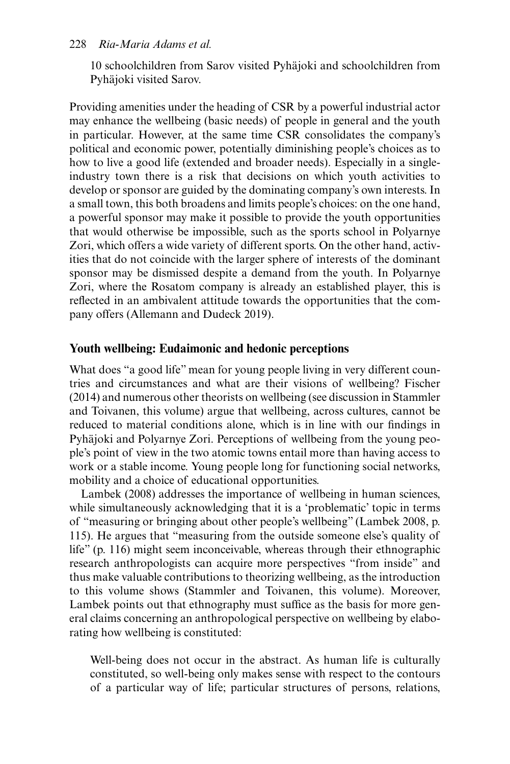10 schoolchildren from Sarov visited Pyhäjoki and schoolchildren from Pyhäjoki visited Sarov.

Providing amenities under the heading of CSR by a powerful industrial actor may enhance the wellbeing (basic needs) of people in general and the youth in particular. However, at the same time CSR consolidates the company's political and economic power, potentially diminishing people's choices as to how to live a good life (extended and broader needs). Especially in a singleindustry town there is a risk that decisions on which youth activities to develop or sponsor are guided by the dominating company's own interests. In a small town, this both broadens and limits people's choices: on the one hand, a powerful sponsor may make it possible to provide the youth opportunities that would otherwise be impossible, such as the sports school in Polyarnye Zori, which offers a wide variety of different sports. On the other hand, activities that do not coincide with the larger sphere of interests of the dominant sponsor may be dismissed despite a demand from the youth. In Polyarnye Zori, where the Rosatom company is already an established player, this is refected in an ambivalent attitude towards the opportunities that the company offers (Allemann and Dudeck 2019).

## **Youth wellbeing: Eudaimonic and hedonic perceptions**

What does "a good life" mean for young people living in very different countries and circumstances and what are their visions of wellbeing? Fischer (2014) and numerous other theorists on wellbeing (see discussion in Stammler and Toivanen, this volume) argue that wellbeing, across cultures, cannot be reduced to material conditions alone, which is in line with our fndings in Pyhäjoki and Polyarnye Zori. Perceptions of wellbeing from the young people's point of view in the two atomic towns entail more than having access to work or a stable income. Young people long for functioning social networks, mobility and a choice of educational opportunities.

Lambek (2008) addresses the importance of wellbeing in human sciences, while simultaneously acknowledging that it is a 'problematic' topic in terms of "measuring or bringing about other people's wellbeing" (Lambek 2008, p. 115). He argues that "measuring from the outside someone else's quality of life" (p. 116) might seem inconceivable, whereas through their ethnographic research anthropologists can acquire more perspectives "from inside" and thus make valuable contributions to theorizing wellbeing, as the introduction to this volume shows (Stammler and Toivanen, this volume). Moreover, Lambek points out that ethnography must suffice as the basis for more general claims concerning an anthropological perspective on wellbeing by elaborating how wellbeing is constituted:

Well-being does not occur in the abstract. As human life is culturally constituted, so well-being only makes sense with respect to the contours of a particular way of life; particular structures of persons, relations,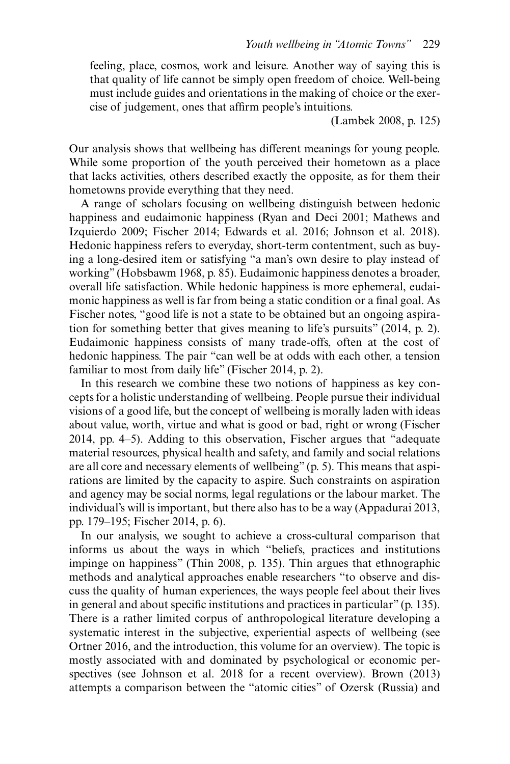feeling, place, cosmos, work and leisure. Another way of saying this is that quality of life cannot be simply open freedom of choice. Well-being must include guides and orientations in the making of choice or the exercise of judgement, ones that affrm people's intuitions.

(Lambek 2008, p. 125)

Our analysis shows that wellbeing has different meanings for young people. While some proportion of the youth perceived their hometown as a place that lacks activities, others described exactly the opposite, as for them their hometowns provide everything that they need.

A range of scholars focusing on wellbeing distinguish between hedonic happiness and eudaimonic happiness (Ryan and Deci 2001; Mathews and Izquierdo 2009; Fischer 2014; Edwards et al. 2016; Johnson et al. 2018). Hedonic happiness refers to everyday, short-term contentment, such as buying a long-desired item or satisfying "a man's own desire to play instead of working" (Hobsbawm 1968, p. 85). Eudaimonic happiness denotes a broader, overall life satisfaction. While hedonic happiness is more ephemeral, eudaimonic happiness as well is far from being a static condition or a fnal goal. As Fischer notes, "good life is not a state to be obtained but an ongoing aspiration for something better that gives meaning to life's pursuits" (2014, p. 2). Eudaimonic happiness consists of many trade-offs, often at the cost of hedonic happiness. The pair "can well be at odds with each other, a tension familiar to most from daily life" (Fischer 2014, p. 2).

In this research we combine these two notions of happiness as key concepts for a holistic understanding of wellbeing. People pursue their individual visions of a good life, but the concept of wellbeing is morally laden with ideas about value, worth, virtue and what is good or bad, right or wrong (Fischer 2014, pp. 4–5). Adding to this observation, Fischer argues that "adequate material resources, physical health and safety, and family and social relations are all core and necessary elements of wellbeing" (p. 5). This means that aspirations are limited by the capacity to aspire. Such constraints on aspiration and agency may be social norms, legal regulations or the labour market. The individual's will is important, but there also has to be a way (Appadurai 2013, pp. 179–195; Fischer 2014, p. 6).

In our analysis, we sought to achieve a cross-cultural comparison that informs us about the ways in which "beliefs, practices and institutions impinge on happiness" (Thin 2008, p. 135). Thin argues that ethnographic methods and analytical approaches enable researchers "to observe and discuss the quality of human experiences, the ways people feel about their lives in general and about specifc institutions and practices in particular" (p. 135). There is a rather limited corpus of anthropological literature developing a systematic interest in the subjective, experiential aspects of wellbeing (see Ortner 2016, and the introduction, this volume for an overview). The topic is mostly associated with and dominated by psychological or economic perspectives (see Johnson et al. 2018 for a recent overview). Brown (2013) attempts a comparison between the "atomic cities" of Ozersk (Russia) and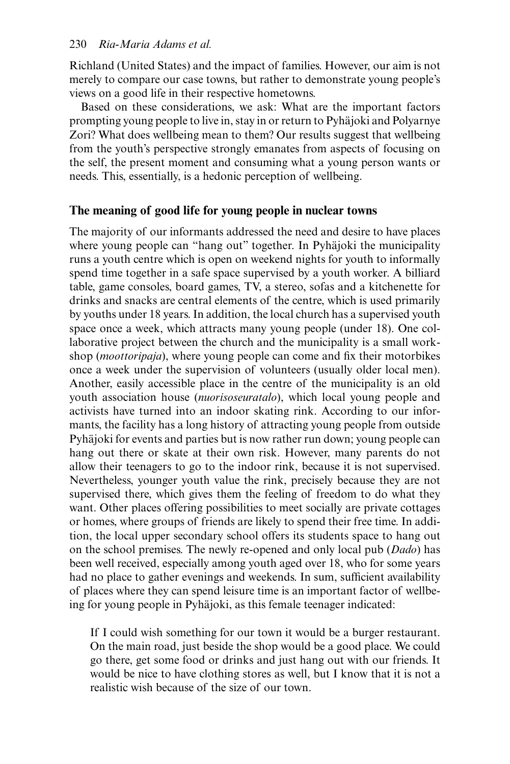Richland (United States) and the impact of families. However, our aim is not merely to compare our case towns, but rather to demonstrate young people's views on a good life in their respective hometowns.

Based on these considerations, we ask: What are the important factors prompting young people to live in, stay in or return to Pyhäjoki and Polyarnye Zori? What does wellbeing mean to them? Our results suggest that wellbeing from the youth's perspective strongly emanates from aspects of focusing on the self, the present moment and consuming what a young person wants or needs. This, essentially, is a hedonic perception of wellbeing.

## **The meaning of good life for young people in nuclear towns**

The majority of our informants addressed the need and desire to have places where young people can "hang out" together. In Pyhäjoki the municipality runs a youth centre which is open on weekend nights for youth to informally spend time together in a safe space supervised by a youth worker. A billiard table, game consoles, board games, TV, a stereo, sofas and a kitchenette for drinks and snacks are central elements of the centre, which is used primarily by youths under 18 years. In addition, the local church has a supervised youth space once a week, which attracts many young people (under 18). One collaborative project between the church and the municipality is a small workshop (*moottoripaja*), where young people can come and fix their motorbikes once a week under the supervision of volunteers (usually older local men). Another, easily accessible place in the centre of the municipality is an old youth association house (*nuorisoseuratalo*), which local young people and activists have turned into an indoor skating rink. According to our informants, the facility has a long history of attracting young people from outside Pyhäjoki for events and parties but is now rather run down; young people can hang out there or skate at their own risk. However, many parents do not allow their teenagers to go to the indoor rink, because it is not supervised. Nevertheless, younger youth value the rink, precisely because they are not supervised there, which gives them the feeling of freedom to do what they want. Other places offering possibilities to meet socially are private cottages or homes, where groups of friends are likely to spend their free time. In addition, the local upper secondary school offers its students space to hang out on the school premises. The newly re-opened and only local pub (*Dado*) has been well received, especially among youth aged over 18, who for some years had no place to gather evenings and weekends. In sum, sufficient availability of places where they can spend leisure time is an important factor of wellbeing for young people in Pyhäjoki, as this female teenager indicated:

If I could wish something for our town it would be a burger restaurant. On the main road, just beside the shop would be a good place. We could go there, get some food or drinks and just hang out with our friends. It would be nice to have clothing stores as well, but I know that it is not a realistic wish because of the size of our town.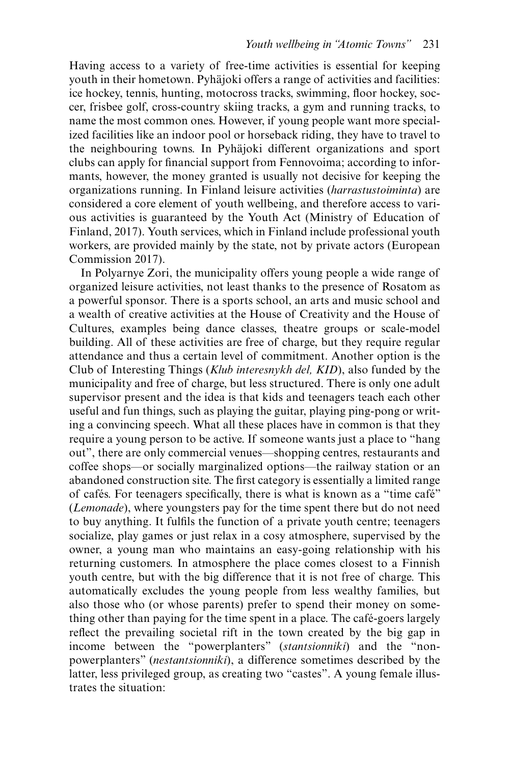Having access to a variety of free-time activities is essential for keeping youth in their hometown. Pyhäjoki offers a range of activities and facilities: ice hockey, tennis, hunting, motocross tracks, swimming, floor hockey, soccer, frisbee golf, cross-country skiing tracks, a gym and running tracks, to name the most common ones. However, if young people want more specialized facilities like an indoor pool or horseback riding, they have to travel to the neighbouring towns. In Pyhäjoki different organizations and sport clubs can apply for fnancial support from Fennovoima; according to informants, however, the money granted is usually not decisive for keeping the organizations running. In Finland leisure activities (*harrastustoiminta*) are considered a core element of youth wellbeing, and therefore access to various activities is guaranteed by the Youth Act (Ministry of Education of Finland, 2017). Youth services, which in Finland include professional youth workers, are provided mainly by the state, not by private actors (European Commission 2017).

In Polyarnye Zori, the municipality offers young people a wide range of organized leisure activities, not least thanks to the presence of Rosatom as a powerful sponsor. There is a sports school, an arts and music school and a wealth of creative activities at the House of Creativity and the House of Cultures, examples being dance classes, theatre groups or scale-model building. All of these activities are free of charge, but they require regular attendance and thus a certain level of commitment. Another option is the Club of Interesting Things (*Klub interesnykh del, KID*), also funded by the municipality and free of charge, but less structured. There is only one adult supervisor present and the idea is that kids and teenagers teach each other useful and fun things, such as playing the guitar, playing ping-pong or writing a convincing speech. What all these places have in common is that they require a young person to be active. If someone wants just a place to "hang out", there are only commercial venues—shopping centres, restaurants and coffee shops—or socially marginalized options—the railway station or an abandoned construction site. The frst category is essentially a limited range of cafés. For teenagers specifcally, there is what is known as a "time café" (*Lemonade*), where youngsters pay for the time spent there but do not need to buy anything. It fulfls the function of a private youth centre; teenagers socialize, play games or just relax in a cosy atmosphere, supervised by the owner, a young man who maintains an easy-going relationship with his returning customers. In atmosphere the place comes closest to a Finnish youth centre, but with the big difference that it is not free of charge. This automatically excludes the young people from less wealthy families, but also those who (or whose parents) prefer to spend their money on something other than paying for the time spent in a place. The café-goers largely refect the prevailing societal rift in the town created by the big gap in income between the "powerplanters" (*stantsionniki*) and the "nonpowerplanters" (*nestantsionniki*), a difference sometimes described by the latter, less privileged group, as creating two "castes". A young female illustrates the situation: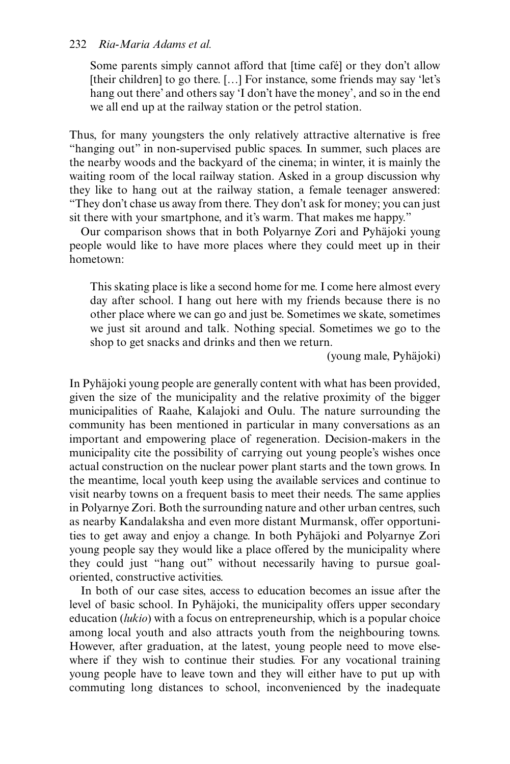Some parents simply cannot afford that *s* ftime cafél or they don't allow [their children] to go there. [...] For instance, some friends may say 'let's hang out there' and others say 'I don't have the money', and so in the end we all end up at the railway station or the petrol station.

Thus, for many youngsters the only relatively attractive alternative is free "hanging out" in non-supervised public spaces. In summer, such places are the nearby woods and the backyard of the cinema; in winter, it is mainly the waiting room of the local railway station. Asked in a group discussion why they like to hang out at the railway station, a female teenager answered: "They don't chase us away from there. They don't ask for money; you can just sit there with your smartphone, and it's warm. That makes me happy."

Our comparison shows that in both Polyarnye Zori and Pyhäjoki young people would like to have more places where they could meet up in their hometown:

This skating place is like a second home for me. I come here almost every day after school. I hang out here with my friends because there is no other place where we can go and just be. Sometimes we skate, sometimes we just sit around and talk. Nothing special. Sometimes we go to the shop to get snacks and drinks and then we return.

(young male, Pyhäjoki)

In Pyhäjoki young people are generally content with what has been provided, given the size of the municipality and the relative proximity of the bigger municipalities of Raahe, Kalajoki and Oulu. The nature surrounding the community has been mentioned in particular in many conversations as an important and empowering place of regeneration. Decision-makers in the municipality cite the possibility of carrying out young people's wishes once actual construction on the nuclear power plant starts and the town grows. In the meantime, local youth keep using the available services and continue to visit nearby towns on a frequent basis to meet their needs. The same applies in Polyarnye Zori. Both the surrounding nature and other urban centres, such as nearby Kandalaksha and even more distant Murmansk, offer opportunities to get away and enjoy a change. In both Pyhäjoki and Polyarnye Zori young people say they would like a place offered by the municipality where they could just "hang out" without necessarily having to pursue goaloriented, constructive activities.

In both of our case sites, access to education becomes an issue after the level of basic school. In Pyhäjoki, the municipality offers upper secondary education (*lukio*) with a focus on entrepreneurship, which is a popular choice among local youth and also attracts youth from the neighbouring towns. However, after graduation, at the latest, young people need to move elsewhere if they wish to continue their studies. For any vocational training young people have to leave town and they will either have to put up with commuting long distances to school, inconvenienced by the inadequate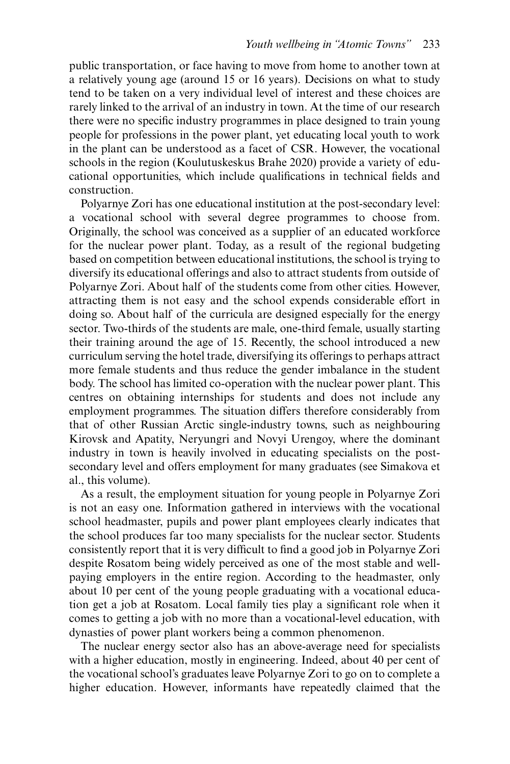public transportation, or face having to move from home to another town at a relatively young age (around 15 or 16 years). Decisions on what to study tend to be taken on a very individual level of interest and these choices are rarely linked to the arrival of an industry in town. At the time of our research there were no specifc industry programmes in place designed to train young people for professions in the power plant, yet educating local youth to work in the plant can be understood as a facet of CSR. However, the vocational schools in the region (Koulutuskeskus Brahe 2020) provide a variety of educational opportunities, which include qualifcations in technical felds and construction.

Polyarnye Zori has one educational institution at the post-secondary level: a vocational school with several degree programmes to choose from. Originally, the school was conceived as a supplier of an educated workforce for the nuclear power plant. Today, as a result of the regional budgeting based on competition between educational institutions, the school is trying to diversify its educational offerings and also to attract students from outside of Polyarnye Zori. About half of the students come from other cities. However, attracting them is not easy and the school expends considerable effort in doing so. About half of the curricula are designed especially for the energy sector. Two-thirds of the students are male, one-third female, usually starting their training around the age of 15. Recently, the school introduced a new curriculum serving the hotel trade, diversifying its offerings to perhaps attract more female students and thus reduce the gender imbalance in the student body. The school has limited co-operation with the nuclear power plant. This centres on obtaining internships for students and does not include any employment programmes. The situation differs therefore considerably from that of other Russian Arctic single-industry towns, such as neighbouring Kirovsk and Apatity, Neryungri and Novyi Urengoy, where the dominant industry in town is heavily involved in educating specialists on the postsecondary level and offers employment for many graduates (see Simakova et al., this volume).

As a result, the employment situation for young people in Polyarnye Zori is not an easy one. Information gathered in interviews with the vocational school headmaster, pupils and power plant employees clearly indicates that the school produces far too many specialists for the nuclear sector. Students consistently report that it is very diffcult to fnd a good job in Polyarnye Zori despite Rosatom being widely perceived as one of the most stable and wellpaying employers in the entire region. According to the headmaster, only about 10 per cent of the young people graduating with a vocational education get a job at Rosatom. Local family ties play a signifcant role when it comes to getting a job with no more than a vocational-level education, with dynasties of power plant workers being a common phenomenon.

The nuclear energy sector also has an above-average need for specialists with a higher education, mostly in engineering. Indeed, about 40 per cent of the vocational school's graduates leave Polyarnye Zori to go on to complete a higher education. However, informants have repeatedly claimed that the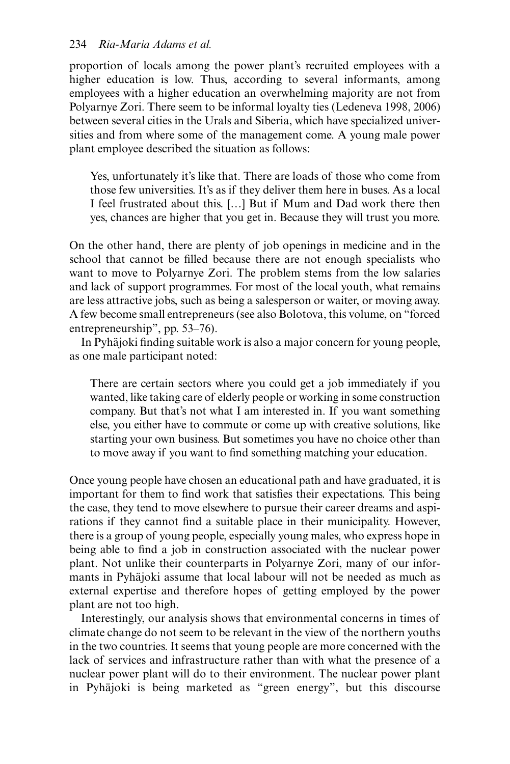proportion of locals among the power plant's recruited employees with a higher education is low. Thus, according to several informants, among employees with a higher education an overwhelming majority are not from Polyarnye Zori. There seem to be informal loyalty ties (Ledeneva 1998, 2006) between several cities in the Urals and Siberia, which have specialized universities and from where some of the management come. A young male power plant employee described the situation as follows:

Yes, unfortunately it's like that. There are loads of those who come from those few universities. It's as if they deliver them here in buses. As a local I feel frustrated about this. […] But if Mum and Dad work there then yes, chances are higher that you get in. Because they will trust you more.

On the other hand, there are plenty of job openings in medicine and in the school that cannot be flled because there are not enough specialists who want to move to Polyarnye Zori. The problem stems from the low salaries and lack of support programmes. For most of the local youth, what remains are less attractive jobs, such as being a salesperson or waiter, or moving away. A few become small entrepreneurs (see also Bolotova, this volume, on "forced entrepreneurship", pp. 53–76).

In Pyhäjoki fnding suitable work is also a major concern for young people, as one male participant noted:

There are certain sectors where you could get a job immediately if you wanted, like taking care of elderly people or working in some construction company. But that's not what I am interested in. If you want something else, you either have to commute or come up with creative solutions, like starting your own business. But sometimes you have no choice other than to move away if you want to fnd something matching your education.

Once young people have chosen an educational path and have graduated, it is important for them to fnd work that satisfes their expectations. This being the case, they tend to move elsewhere to pursue their career dreams and aspirations if they cannot fnd a suitable place in their municipality. However, there is a group of young people, especially young males, who express hope in being able to fnd a job in construction associated with the nuclear power plant. Not unlike their counterparts in Polyarnye Zori, many of our informants in Pyhäjoki assume that local labour will not be needed as much as external expertise and therefore hopes of getting employed by the power plant are not too high.

Interestingly, our analysis shows that environmental concerns in times of climate change do not seem to be relevant in the view of the northern youths in the two countries. It seems that young people are more concerned with the lack of services and infrastructure rather than with what the presence of a nuclear power plant will do to their environment. The nuclear power plant in Pyhäjoki is being marketed as "green energy", but this discourse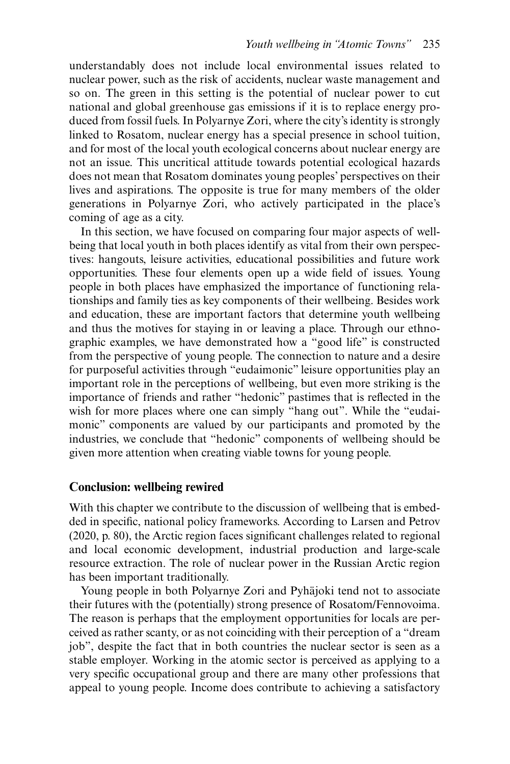understandably does not include local environmental issues related to nuclear power, such as the risk of accidents, nuclear waste management and so on. The green in this setting is the potential of nuclear power to cut national and global greenhouse gas emissions if it is to replace energy produced from fossil fuels. In Polyarnye Zori, where the city's identity is strongly linked to Rosatom, nuclear energy has a special presence in school tuition, and for most of the local youth ecological concerns about nuclear energy are not an issue. This uncritical attitude towards potential ecological hazards does not mean that Rosatom dominates young peoples' perspectives on their lives and aspirations. The opposite is true for many members of the older generations in Polyarnye Zori, who actively participated in the place's coming of age as a city.

In this section, we have focused on comparing four major aspects of wellbeing that local youth in both places identify as vital from their own perspectives: hangouts, leisure activities, educational possibilities and future work opportunities. These four elements open up a wide feld of issues. Young people in both places have emphasized the importance of functioning relationships and family ties as key components of their wellbeing. Besides work and education, these are important factors that determine youth wellbeing and thus the motives for staying in or leaving a place. Through our ethnographic examples, we have demonstrated how a "good life" is constructed from the perspective of young people. The connection to nature and a desire for purposeful activities through "eudaimonic" leisure opportunities play an important role in the perceptions of wellbeing, but even more striking is the importance of friends and rather "hedonic" pastimes that is refected in the wish for more places where one can simply "hang out". While the "eudaimonic" components are valued by our participants and promoted by the industries, we conclude that "hedonic" components of wellbeing should be given more attention when creating viable towns for young people.

#### **Conclusion: wellbeing rewired**

With this chapter we contribute to the discussion of wellbeing that is embedded in specifc, national policy frameworks. According to Larsen and Petrov (2020, p. 80), the Arctic region faces signifcant challenges related to regional and local economic development, industrial production and large-scale resource extraction. The role of nuclear power in the Russian Arctic region has been important traditionally.

Young people in both Polyarnye Zori and Pyhäjoki tend not to associate their futures with the (potentially) strong presence of Rosatom/Fennovoima. The reason is perhaps that the employment opportunities for locals are perceived as rather scanty, or as not coinciding with their perception of a "dream job", despite the fact that in both countries the nuclear sector is seen as a stable employer. Working in the atomic sector is perceived as applying to a very specifc occupational group and there are many other professions that appeal to young people. Income does contribute to achieving a satisfactory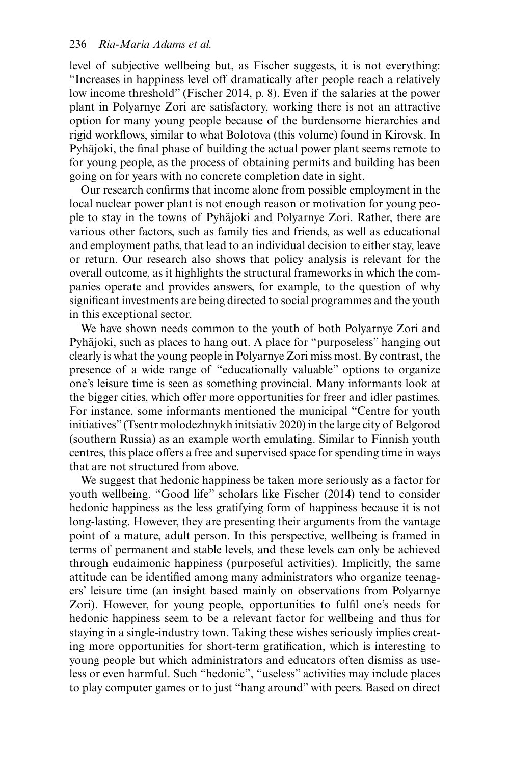level of subjective wellbeing but, as Fischer suggests, it is not everything: "Increases in happiness level off dramatically after people reach a relatively low income threshold" (Fischer 2014, p. 8). Even if the salaries at the power plant in Polyarnye Zori are satisfactory, working there is not an attractive option for many young people because of the burdensome hierarchies and rigid workfows, similar to what Bolotova (this volume) found in Kirovsk. In Pyhäjoki, the fnal phase of building the actual power plant seems remote to for young people, as the process of obtaining permits and building has been going on for years with no concrete completion date in sight.

Our research confrms that income alone from possible employment in the local nuclear power plant is not enough reason or motivation for young people to stay in the towns of Pyhäjoki and Polyarnye Zori. Rather, there are various other factors, such as family ties and friends, as well as educational and employment paths, that lead to an individual decision to either stay, leave or return. Our research also shows that policy analysis is relevant for the overall outcome, as it highlights the structural frameworks in which the companies operate and provides answers, for example, to the question of why signifcant investments are being directed to social programmes and the youth in this exceptional sector.

We have shown needs common to the youth of both Polyarnye Zori and Pyhäjoki, such as places to hang out. A place for "purposeless" hanging out clearly is what the young people in Polyarnye Zori miss most. By contrast, the presence of a wide range of "educationally valuable" options to organize one's leisure time is seen as something provincial. Many informants look at the bigger cities, which offer more opportunities for freer and idler pastimes. For instance, some informants mentioned the municipal "Centre for youth initiatives" (Tsentr molodezhnykh initsiativ 2020) in the large city of Belgorod (southern Russia) as an example worth emulating. Similar to Finnish youth centres, this place offers a free and supervised space for spending time in ways that are not structured from above.

We suggest that hedonic happiness be taken more seriously as a factor for youth wellbeing. "Good life" scholars like Fischer (2014) tend to consider hedonic happiness as the less gratifying form of happiness because it is not long-lasting. However, they are presenting their arguments from the vantage point of a mature, adult person. In this perspective, wellbeing is framed in terms of permanent and stable levels, and these levels can only be achieved through eudaimonic happiness (purposeful activities). Implicitly, the same attitude can be identifed among many administrators who organize teenagers' leisure time (an insight based mainly on observations from Polyarnye Zori). However, for young people, opportunities to fulfl one's needs for hedonic happiness seem to be a relevant factor for wellbeing and thus for staying in a single-industry town. Taking these wishes seriously implies creating more opportunities for short-term gratifcation, which is interesting to young people but which administrators and educators often dismiss as useless or even harmful. Such "hedonic", "useless" activities may include places to play computer games or to just "hang around" with peers. Based on direct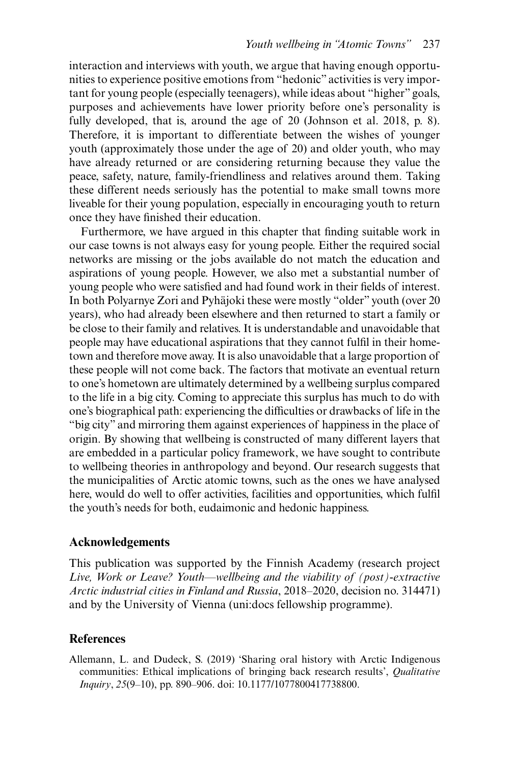interaction and interviews with youth, we argue that having enough opportunities to experience positive emotions from "hedonic" activities is very important for young people (especially teenagers), while ideas about "higher" goals, purposes and achievements have lower priority before one's personality is fully developed, that is, around the age of 20 (Johnson et al. 2018, p. 8). Therefore, it is important to differentiate between the wishes of younger youth (approximately those under the age of 20) and older youth, who may have already returned or are considering returning because they value the peace, safety, nature, family-friendliness and relatives around them. Taking these different needs seriously has the potential to make small towns more liveable for their young population, especially in encouraging youth to return once they have fnished their education.

Furthermore, we have argued in this chapter that fnding suitable work in our case towns is not always easy for young people. Either the required social networks are missing or the jobs available do not match the education and aspirations of young people. However, we also met a substantial number of young people who were satisfed and had found work in their felds of interest. In both Polyarnye Zori and Pyhäjoki these were mostly "older" youth (over 20 years), who had already been elsewhere and then returned to start a family or be close to their family and relatives. It is understandable and unavoidable that people may have educational aspirations that they cannot fulfl in their hometown and therefore move away. It is also unavoidable that a large proportion of these people will not come back. The factors that motivate an eventual return to one's hometown are ultimately determined by a wellbeing surplus compared to the life in a big city. Coming to appreciate this surplus has much to do with one's biographical path: experiencing the diffculties or drawbacks of life in the "big city" and mirroring them against experiences of happiness in the place of origin. By showing that wellbeing is constructed of many different layers that are embedded in a particular policy framework, we have sought to contribute to wellbeing theories in anthropology and beyond. Our research suggests that the municipalities of Arctic atomic towns, such as the ones we have analysed here, would do well to offer activities, facilities and opportunities, which fulfl the youth's needs for both, eudaimonic and hedonic happiness.

#### **Acknowledgements**

This publication was supported by the Finnish Academy (research project *Live, Work or Leave? Youth—wellbeing and the viability of (post)-extractive Arctic industrial cities in Finland and Russia*, 2018–2020, decision no. 314471) and by the University of Vienna (uni:docs fellowship programme).

#### **References**

Allemann, L. and Dudeck, S. (2019) 'Sharing oral history with Arctic Indigenous communities: Ethical implications of bringing back research results', *Qualitative Inquiry*, *25*(9–10), pp. 890–906. doi: [10.1177/1077800417738800.](http://dx.doi.org/10.1177/1077800417738800)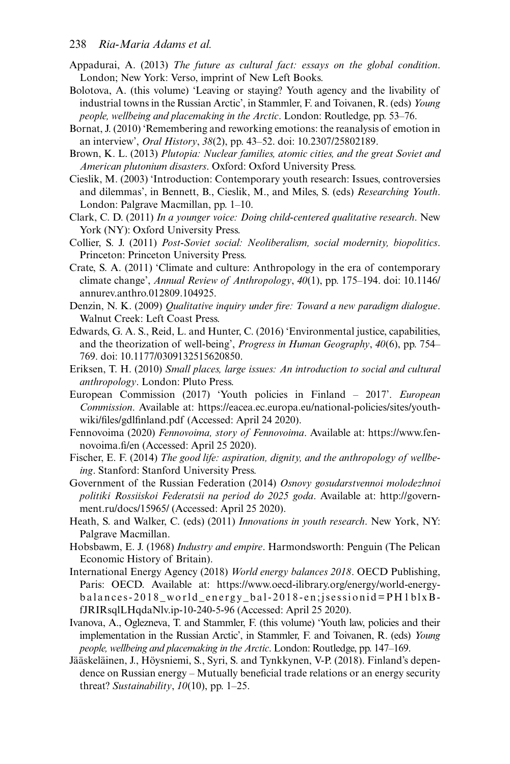- Appadurai, A. (2013) *The future as cultural fact: essays on the global condition*. London; New York: Verso, imprint of New Left Books.
- Bolotova, A. (this volume) 'Leaving or staying? Youth agency and the livability of industrial towns in the Russian Arctic', in Stammler, F. and Toivanen, R. (eds) *Young people, wellbeing and placemaking in the Arctic*. London: Routledge, pp. 53–76.
- Bornat, J. (2010) 'Remembering and reworking emotions: the reanalysis of emotion in an interview', *Oral History*, *38*(2), pp. 43–52. doi: [10.2307/25802189](http://dx.doi.org/10.2307/25802189).
- Brown, K. L. (2013) *Plutopia: Nuclear families, atomic cities, and the great Soviet and American plutonium disasters*. Oxford: Oxford University Press.
- Cieslik, M. (2003) 'Introduction: Contemporary youth research: Issues, controversies and dilemmas', in Bennett, B., Cieslik, M., and Miles, S. (eds) *Researching Youth*. London: Palgrave Macmillan, pp. 1–10.
- Clark, C. D. (2011) *In a younger voice: Doing child-centered qualitative research*. New York (NY): Oxford University Press.
- Collier, S. J. (2011) *Post-Soviet social: Neoliberalism, social modernity, biopolitics*. Princeton: Princeton University Press.
- Crate, S. A. (2011) 'Climate and culture: Anthropology in the era of contemporary climate change', *Annual Review of Anthropology*, *40*(1), pp. 175–194. doi: [10.1146/](http://dx.doi.org/10.1146/annurev.anthro.012809.104925) [annurev.anthro.012809.104925.](http://dx.doi.org/10.1146/annurev.anthro.012809.104925)
- Denzin, N. K. (2009) *Qualitative inquiry under fre: Toward a new paradigm dialogue*. Walnut Creek: Left Coast Press.
- Edwards, G. A. S., Reid, L. and Hunter, C. (2016) 'Environmental justice, capabilities, and the theorization of well-being', *Progress in Human Geography*, *40*(6), pp. 754– 769. doi: [10.1177/0309132515620850](http://dx.doi.org/10.1177/0309132515620850).
- Eriksen, T. H. (2010) *Small places, large issues: An introduction to social and cultural anthropology*. London: Pluto Press.
- European Commission (2017) 'Youth policies in Finland 2017'. *European Commission*. Available at: [https://eacea.ec.europa.eu/national-policies/sites/youth](https://eacea.ec.europa.eu)[wiki/fles/gdlfnland.pdf](https://eacea.ec.europa.eu) (Accessed: April 24 2020).
- Fennovoima (2020) *Fennovoima, story of Fennovoima*. Available at: [https://www.fen](https://www.fennovoima.fi)[novoima.f/en](https://www.fennovoima.fi) (Accessed: April 25 2020).
- Fischer, E. F. (2014) *The good life: aspiration, dignity, and the anthropology of wellbeing*. Stanford: Stanford University Press.
- Government of the Russian Federation (2014) *Osnovy gosudarstvennoi molodezhnoi politiki Rossiiskoi Federatsii na period do 2025 goda*. Available at: [http://govern](http://government.ru)[ment.ru/docs/15965/](http://government.ru) (Accessed: April 25 2020).
- Heath, S. and Walker, C. (eds) (2011) *Innovations in youth research*. New York, NY: Palgrave Macmillan.
- Hobsbawm, E. J. (1968) *Industry and empire*. Harmondsworth: Penguin (The Pelican Economic History of Britain).
- International Energy Agency (2018) *World energy balances 2018*. OECD Publishing, Paris: OECD. Available at: [https://www.oecd-ilibrary.org/energy/world-energy](https://www.oecd�ilibrary.org)balances- [2018\\_world\\_energy\\_bal-](https://www.oecd�ilibrary.org) 2018- en;jsessionid=PH1blxB[fJRIRsqlLHqdaNlv.ip-10-240-5-96](https://www.oecd�ilibrary.org) (Accessed: April 25 2020).
- Ivanova, A., Oglezneva, T. and Stammler, F. (this volume) 'Youth law, policies and their implementation in the Russian Arctic', in Stammler, F. and Toivanen, R. (eds) *Young people, wellbeing and placemaking in the Arctic*. London: Routledge, pp. 147–169.
- Jääskeläinen, J., Höysniemi, S., Syri, S. and Tynkkynen, V-P. (2018). Finland's dependence on Russian energy – Mutually beneficial trade relations or an energy security threat? *Sustainability*, *10*(10), pp. 1–25.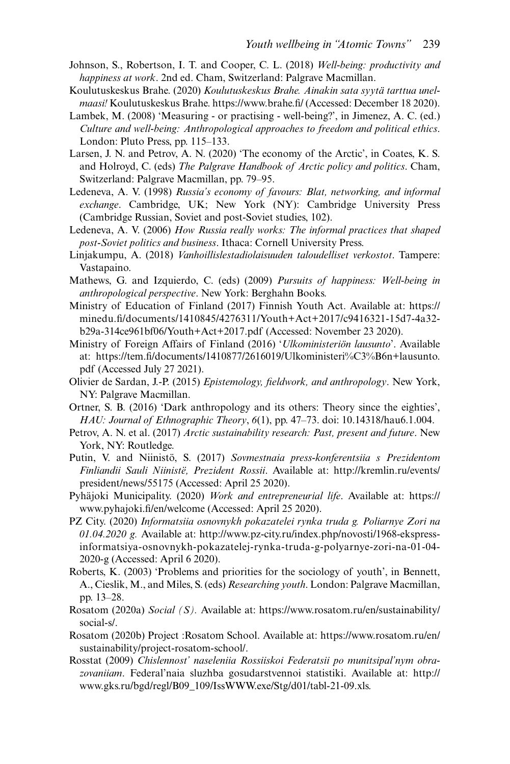- Johnson, S., Robertson, I. T. and Cooper, C. L. (2018) *Well-being: productivity and happiness at work*. 2nd ed. Cham, Switzerland: Palgrave Macmillan.
- Koulutuskeskus Brahe. (2020) *Koulutuskeskus Brahe. Ainakin sata syytä tarttua unel*maasi! Koulutuskeskus Brahe. https://www.brahe.fi/ (Accessed: December 18 2020).
- Lambek, M. (2008) 'Measuring or practising well-being?', in Jimenez, A. C. (ed.) *Culture and well-being: Anthropological approaches to freedom and political ethics*. London: Pluto Press, pp. 115–133.
- Larsen, J. N. and Petrov, A. N. (2020) 'The economy of the Arctic', in Coates, K. S. and Holroyd, C. (eds) *The Palgrave Handbook of Arctic policy and politics*. Cham, Switzerland: Palgrave Macmillan, pp. 79–95.
- Ledeneva, A. V. (1998) *Russia's economy of favours: Blat, networking, and informal exchange*. Cambridge, UK; New York (NY): Cambridge University Press (Cambridge Russian, Soviet and post-Soviet studies, 102).
- Ledeneva, A. V. (2006) *How Russia really works: The informal practices that shaped post-Soviet politics and business*. Ithaca: Cornell University Press.
- Linjakumpu, A. (2018) *Vanhoillislestadiolaisuuden taloudelliset verkostot*. Tampere: Vastapaino.
- Mathews, G. and Izquierdo, C. (eds) (2009) *Pursuits of happiness: Well-being in anthropological perspective*. New York: Berghahn Books.
- Ministry of Education of Finland (2017) Finnish Youth Act. Available at: [https://](https://minedu.fi) [minedu.f/documents/1410845/4276311/Youth+Act+2017/c9416321-15d7-4a32](https://minedu.fi) [b29a-314ce961bf06/Youth+Act+2017.pdf](https://minedu.fi) (Accessed: November 23 2020).
- Ministry of Foreign Affairs of Finland (2016) '*Ulkoministeriön lausunto*'. Available at: [https://tem.f/documents/1410877/2616019/Ulkoministeri%C3%B6n+lausunto.](https://tem.fi) [pdf](https://tem.fi) (Accessed July 27 2021).
- Olivier de Sardan, J.-P. (2015) *Epistemology, feldwork, and anthropology*. New York, NY: Palgrave Macmillan.
- Ortner, S. B. (2016) 'Dark anthropology and its others: Theory since the eighties', *HAU: Journal of Ethnographic Theory*, *6*(1), pp. 47–73. doi: [10.14318/hau6.1.004.](http://dx.doi.org/10.14318/hau6.1.004)
- Petrov, A. N. et al. (2017) *Arctic sustainability research: Past, present and future*. New York, NY: Routledge.
- Putin, V. and Niinistö, S. (2017) *Sovmestnaia press-konferentsiia s Prezidentom Finliandii Sauli Niinistë, Prezident Rossii.* Available at: [http://kremlin.ru/events/](http://kremlin.ru) [president/news/55175](http://kremlin.ru) (Accessed: April 25 2020).
- Pyhäjoki Municipality. (2020) *Work and entrepreneurial life*. Available at: [https://](https://www.pyhajoki.fi) [www.pyhajoki.f/en/welcome](https://www.pyhajoki.fi) (Accessed: April 25 2020).
- PZ City. (2020) *Informatsiia osnovnykh pokazatelei rynka truda g. Poliarnye Zori na 01.04.2020 g.* Available at: [http://www.pz-city.ru/index.php/novosti/1968-ekspress](http://www.pz-­city.ru)[informatsiya-osnovnykh-pokazatelej-rynka-truda-g-polyarnye-zori-na-01-04-](http://www.pz-­city.ru) [2020-g](http://www.pz-­city.ru) (Accessed: April 6 2020).
- Roberts, K. (2003) 'Problems and priorities for the sociology of youth', in Bennett, A., Cieslik, M., and Miles, S. (eds) *Researching youth*. London: Palgrave Macmillan, pp. 13–28.
- Rosatom (2020a) *Social (S).* Available at: [https://www.rosatom.ru/en/sustainability/](https://www.rosatom.ru) [social-s/.](https://www.rosatom.ru)
- Rosatom (2020b) Project :Rosatom School. Available at: [https://www.rosatom.ru/en/](https://www.rosatom.ru) [sustainability/project-rosatom-school/](https://www.rosatom.ru).
- Rosstat (2009) *Chislennost' naseleniia Rossiiskoi Federatsii po munitsipal'nym obrazovaniiam*. Federal'naia sluzhba gosudarstvennoi statistiki. Available at: [http://](http://www.gks.ru) [www.gks.ru/bgd/regl/B09\\_109/IssWWW.exe/Stg/d01/tabl-21-09.xls.](http://www.gks.ru)